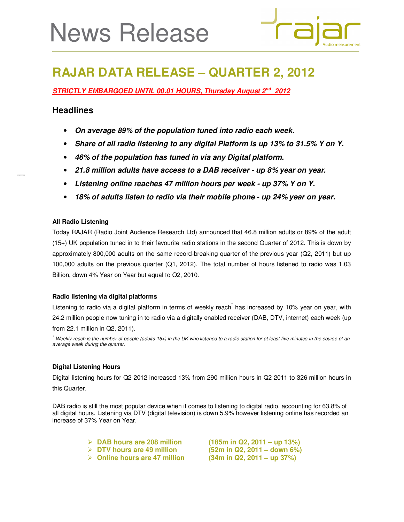# News Release



# **RAJAR DATA RELEASE – QUARTER 2, 2012**

*STRICTLY EMBARGOED UNTIL 00.01 HOURS, Thursday August 2nd 2012* 

# **Headlines**

- *On average 89% of the population tuned into radio each week.*
- *Share of all radio listening to any digital Platform is up 13% to 31.5% Y on Y.*
- *46% of the population has tuned in via any Digital platform.*
- *21.8 million adults have access to a DAB receiver up 8% year on year.*
- *Listening online reaches 47 million hours per week up 37% Y on Y.*
- *18% of adults listen to radio via their mobile phone up 24% year on year.*

# **All Radio Listening**

Today RAJAR (Radio Joint Audience Research Ltd) announced that 46.8 million adults or 89% of the adult (15+) UK population tuned in to their favourite radio stations in the second Quarter of 2012. This is down by approximately 800,000 adults on the same record-breaking quarter of the previous year (Q2, 2011) but up 100,000 adults on the previous quarter (Q1, 2012). The total number of hours listened to radio was 1.03 Billion, down 4% Year on Year but equal to Q2, 2010.

# **Radio listening via digital platforms**

Listening to radio via a digital platform in terms of weekly reach<sup>\*</sup> has increased by 10% year on year, with 24.2 million people now tuning in to radio via a digitally enabled receiver (DAB, DTV, internet) each week (up from 22.1 million in Q2, 2011).

Weekly reach is the number of people (adults 15+) in the UK who listened to a radio station for at least five minutes in the course of an average week during the quarter.

# **Digital Listening Hours**

Digital listening hours for Q2 2012 increased 13% from 290 million hours in Q2 2011 to 326 million hours in this Quarter.

DAB radio is still the most popular device when it comes to listening to digital radio, accounting for 63.8% of all digital hours. Listening via DTV (digital television) is down 5.9% however listening online has recorded an increase of 37% Year on Year.

**DAB hours are 208 million (185m in Q2, 2011 – up 13%)** 

- 
- **Online hours are 47 million (34m in Q2, 2011 up 37%)**

**DTV hours are 49 million (52m in Q2, 2011 – down 6%)**